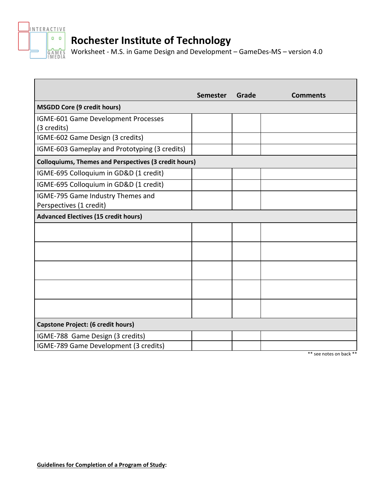

# **Rochester Institute of Technology**

Worksheet - M.S. in Game Design and Development – GameDes-MS – version 4.0

|                                                              | <b>Semester</b> | Grade | <b>Comments</b> |
|--------------------------------------------------------------|-----------------|-------|-----------------|
| <b>MSGDD Core (9 credit hours)</b>                           |                 |       |                 |
| IGME-601 Game Development Processes                          |                 |       |                 |
| (3 credits)                                                  |                 |       |                 |
| IGME-602 Game Design (3 credits)                             |                 |       |                 |
| IGME-603 Gameplay and Prototyping (3 credits)                |                 |       |                 |
| <b>Colloquiums, Themes and Perspectives (3 credit hours)</b> |                 |       |                 |
| IGME-695 Colloquium in GD&D (1 credit)                       |                 |       |                 |
| IGME-695 Colloquium in GD&D (1 credit)                       |                 |       |                 |
| IGME-795 Game Industry Themes and                            |                 |       |                 |
| Perspectives (1 credit)                                      |                 |       |                 |
| <b>Advanced Electives (15 credit hours)</b>                  |                 |       |                 |
|                                                              |                 |       |                 |
|                                                              |                 |       |                 |
|                                                              |                 |       |                 |
|                                                              |                 |       |                 |
|                                                              |                 |       |                 |
|                                                              |                 |       |                 |
|                                                              |                 |       |                 |
|                                                              |                 |       |                 |
|                                                              |                 |       |                 |
| <b>Capstone Project: (6 credit hours)</b>                    |                 |       |                 |
| IGME-788 Game Design (3 credits)                             |                 |       |                 |
| IGME-789 Game Development (3 credits)                        |                 |       |                 |

\*\* see notes on back \*\*